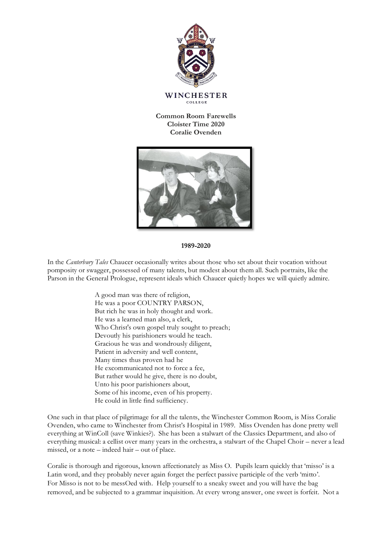

**Common Room Farewells Cloister Time 2020 Coralie Ovenden**



## **1989-2020**

In the *Canterbury Tales* Chaucer occasionally writes about those who set about their vocation without pomposity or swagger, possessed of many talents, but modest about them all. Such portraits, like the Parson in the General Prologue, represent ideals which Chaucer quietly hopes we will quietly admire.

> A good man was there of religion, He was a poor COUNTRY PARSON, But rich he was in holy thought and work. He was a learned man also, a clerk, Who Christ's own gospel truly sought to preach; Devoutly his parishioners would he teach. Gracious he was and wondrously diligent, Patient in adversity and well content, Many times thus proven had he He excommunicated not to force a fee, But rather would he give, there is no doubt, Unto his poor parishioners about, Some of his income, even of his property. He could in little find sufficiency.

One such in that place of pilgrimage for all the talents, the Winchester Common Room, is Miss Coralie Ovenden, who came to Winchester from Christ's Hospital in 1989. Miss Ovenden has done pretty well everything at WinColl (save Winkies?). She has been a stalwart of the Classics Department, and also of everything musical: a cellist over many years in the orchestra, a stalwart of the Chapel Choir – never a lead missed, or a note – indeed hair – out of place.

Coralie is thorough and rigorous, known affectionately as Miss O. Pupils learn quickly that 'misso' is a Latin word, and they probably never again forget the perfect passive participle of the verb 'mitto'. For Misso is not to be messOed with. Help yourself to a sneaky sweet and you will have the bag removed, and be subjected to a grammar inquisition. At every wrong answer, one sweet is forfeit. Not a